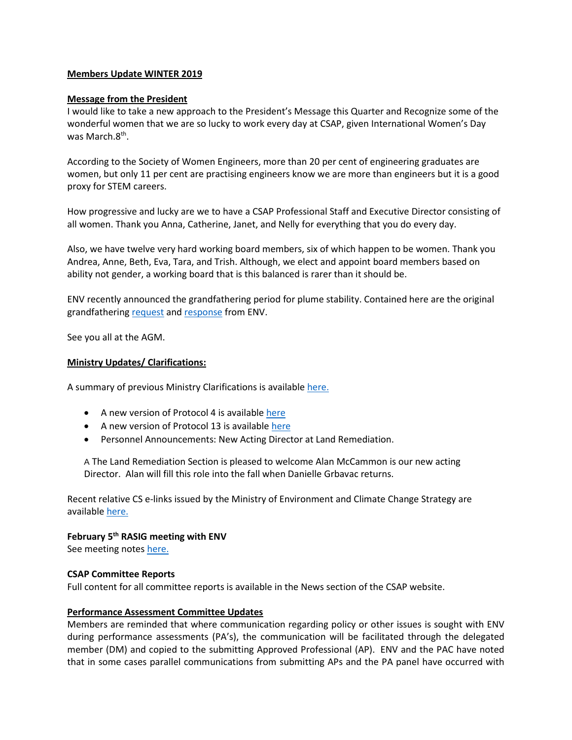### **Members Update WINTER 2019**

### **Message from the President**

I would like to take a new approach to the President's Message this Quarter and Recognize some of the wonderful women that we are so lucky to work every day at CSAP, given International Women's Day was March.8th.

According to the Society of Women Engineers, more than 20 per cent of engineering graduates are women, but only 11 per cent are practising engineers know we are more than engineers but it is a good proxy for STEM careers.

How progressive and lucky are we to have a CSAP Professional Staff and Executive Director consisting of all women. Thank you Anna, Catherine, Janet, and Nelly for everything that you do every day.

Also, we have twelve very hard working board members, six of which happen to be women. Thank you Andrea, Anne, Beth, Eva, Tara, and Trish. Although, we elect and appoint board members based on ability not gender, a working board that is this balanced is rarer than it should be.

ENV recently announced the grandfathering period for plume stability. Contained here are the original grandfathering [request](http://csapsociety.bc.ca/wp-content/uploads/209-02-18-CSAP-DRA-Plume-Stability-gcp-v2.pdf) and [response](https://www2.gov.bc.ca/gov/content/environment/air-land-water/site-remediation/contaminated-sites/cs-e-link-recent-messages) from ENV.

See you all at the AGM.

### **Ministry Updates/ Clarifications:**

A summary of previous Ministry Clarifications is available [here.](https://csapsociety.bc.ca/wp-content/uploads/Ministry-Updates-Spring-2018-to-Summer-2012.pdf)

- A new version of Protocol 4 is available [here](https://www2.gov.bc.ca/assets/gov/environment/air-land-water/site-remediation/docs/protocols/protocol_4.pdf)
- A new version of Protocol 13 is availabl[e here](https://www2.gov.bc.ca/assets/gov/environment/air-land-water/site-remediation/docs/protocols/protocol_13.pdf)
- Personnel Announcements: New Acting Director at Land Remediation.

A The Land Remediation Section is pleased to welcome Alan McCammon is our new acting Director. Alan will fill this role into the fall when Danielle Grbavac returns.

Recent relative CS e-links issued by the Ministry of Environment and Climate Change Strategy are available [here.](https://www2.gov.bc.ca/gov/content/environment/air-land-water/site-remediation/contaminated-sites/cs-e-link-recent-messages)

# **February 5th RASIG meeting with ENV**

See meeting note[s here.](http://csapsociety.bc.ca/wp-content/uploads/CSAP-RA-ENV-meeting-notes.pdf)

#### **CSAP Committee Reports**

Full content for all committee reports is available in the News section of the CSAP website.

#### **Performance Assessment Committee Updates**

Members are reminded that where communication regarding policy or other issues is sought with ENV during performance assessments (PA's), the communication will be facilitated through the delegated member (DM) and copied to the submitting Approved Professional (AP). ENV and the PAC have noted that in some cases parallel communications from submitting APs and the PA panel have occurred with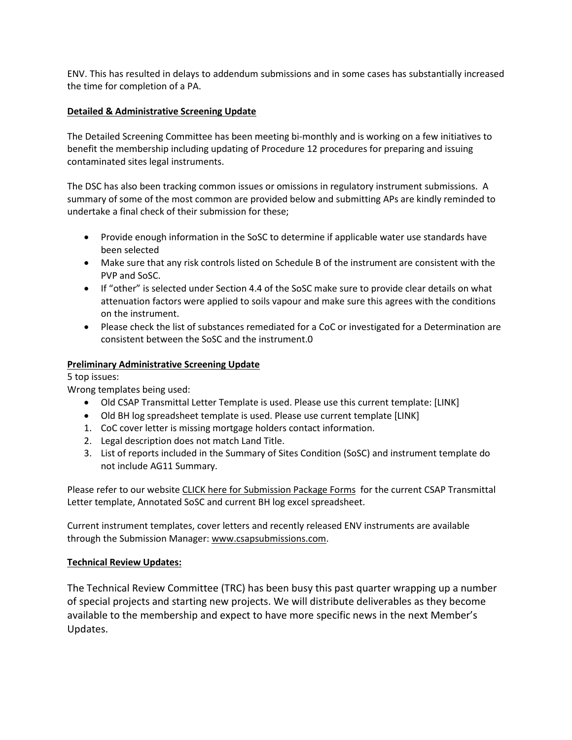ENV. This has resulted in delays to addendum submissions and in some cases has substantially increased the time for completion of a PA.

# **Detailed & Administrative Screening Update**

The Detailed Screening Committee has been meeting bi-monthly and is working on a few initiatives to benefit the membership including updating of Procedure 12 procedures for preparing and issuing contaminated sites legal instruments.

The DSC has also been tracking common issues or omissions in regulatory instrument submissions. A summary of some of the most common are provided below and submitting APs are kindly reminded to undertake a final check of their submission for these;

- Provide enough information in the SoSC to determine if applicable water use standards have been selected
- Make sure that any risk controls listed on Schedule B of the instrument are consistent with the PVP and SoSC.
- If "other" is selected under Section 4.4 of the SoSC make sure to provide clear details on what attenuation factors were applied to soils vapour and make sure this agrees with the conditions on the instrument.
- Please check the list of substances remediated for a CoC or investigated for a Determination are consistent between the SoSC and the instrument.0

# **Preliminary Administrative Screening Update**

5 top issues:

Wrong templates being used:

- Old CSAP Transmittal Letter Template is used. Please use this current template: [LINK]
- Old BH log spreadsheet template is used. Please use current template [LINK]
- 1. CoC cover letter is missing mortgage holders contact information.
- 2. Legal description does not match Land Title.
- 3. List of reports included in the Summary of Sites Condition (SoSC) and instrument template do not include AG11 Summary.

Please refer to our website [CLICK here for Submission Package Forms](http://csapsociety.bc.ca/submission-package-forms/) for the current CSAP Transmittal Letter template, Annotated SoSC and current BH log excel spreadsheet.

Current instrument templates, cover letters and recently released ENV instruments are available through the Submission Manager[: www.csapsubmissions.com.](http://www.csapsubmissions.com/)

## **Technical Review Updates:**

The Technical Review Committee (TRC) has been busy this past quarter wrapping up a number of special projects and starting new projects. We will distribute deliverables as they become available to the membership and expect to have more specific news in the next Member's Updates.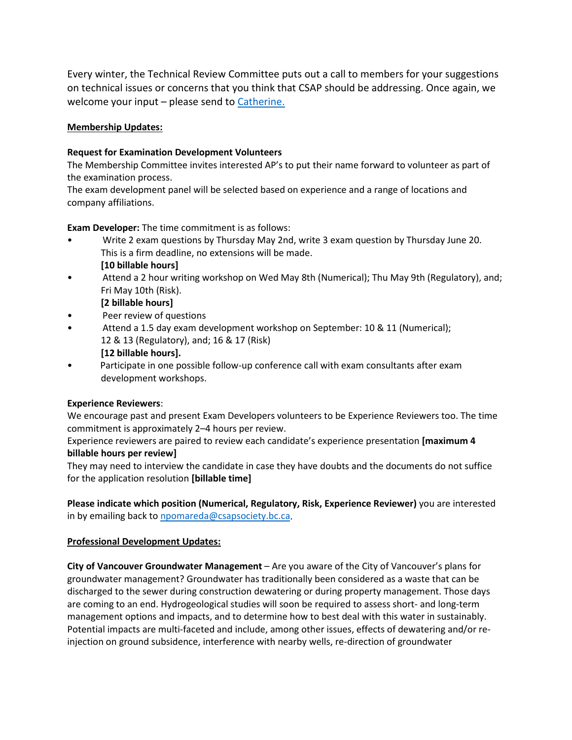Every winter, the Technical Review Committee puts out a call to members for your suggestions on technical issues or concerns that you think that CSAP should be addressing. Once again, we welcome your input – please send to [Catherine.](mailto:TRC@csapsociety.bc.ca?subject=Technical%20issues%20or%20concerns)

# **Membership Updates:**

# **Request for Examination Development Volunteers**

The Membership Committee invites interested AP's to put their name forward to volunteer as part of the examination process.

The exam development panel will be selected based on experience and a range of locations and company affiliations.

**Exam Developer:** The time commitment is as follows:

- Write 2 exam questions by Thursday May 2nd, write 3 exam question by Thursday June 20. This is a firm deadline, no extensions will be made. **[10 billable hours]**
- Attend a 2 hour writing workshop on Wed May 8th (Numerical); Thu May 9th (Regulatory), and; Fri May 10th (Risk).
	- **[2 billable hours]**
- Peer review of questions
- Attend a 1.5 day exam development workshop on September: 10 & 11 (Numerical); 12 & 13 (Regulatory), and; 16 & 17 (Risk)
	- **[12 billable hours].**
- Participate in one possible follow-up conference call with exam consultants after exam development workshops.

## **Experience Reviewers**:

We encourage past and present Exam Developers volunteers to be Experience Reviewers too. The time commitment is approximately 2–4 hours per review.

Experience reviewers are paired to review each candidate's experience presentation **[maximum 4 billable hours per review]**

They may need to interview the candidate in case they have doubts and the documents do not suffice for the application resolution **[billable time]** 

**Please indicate which position (Numerical, Regulatory, Risk, Experience Reviewer)** you are interested in by emailing back t[o npomareda@csapsociety.bc.ca.](mailto:npomareda@csapsociety.bc.ca)

## **Professional Development Updates:**

**City of Vancouver Groundwater Management** – Are you aware of the City of Vancouver's plans for groundwater management? Groundwater has traditionally been considered as a waste that can be discharged to the sewer during construction dewatering or during property management. Those days are coming to an end. Hydrogeological studies will soon be required to assess short- and long-term management options and impacts, and to determine how to best deal with this water in sustainably. Potential impacts are multi-faceted and include, among other issues, effects of dewatering and/or reinjection on ground subsidence, interference with nearby wells, re-direction of groundwater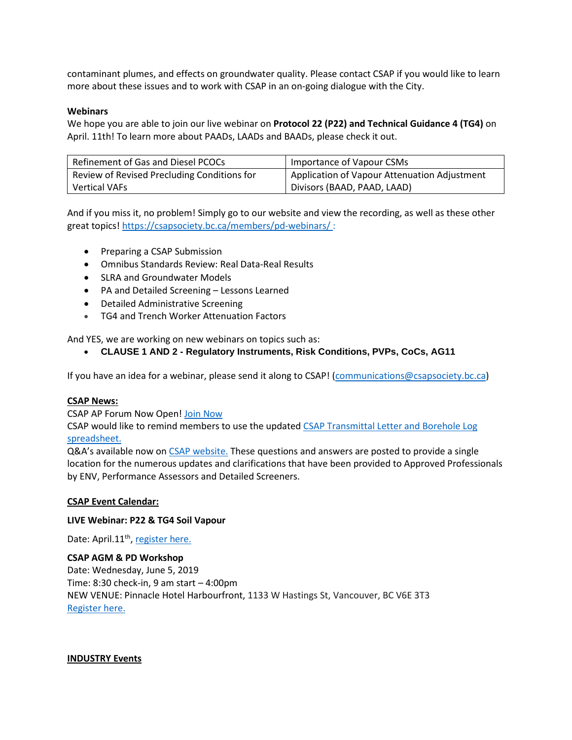contaminant plumes, and effects on groundwater quality. Please contact CSAP if you would like to learn more about these issues and to work with CSAP in an on-going dialogue with the City.

### **Webinars**

We hope you are able to join our live webinar on **Protocol 22 (P22) and Technical Guidance 4 (TG4)** on April. 11th! To learn more about PAADs, LAADs and BAADs, please check it out.

| Refinement of Gas and Diesel PCOCs          | Importance of Vapour CSMs                    |
|---------------------------------------------|----------------------------------------------|
| Review of Revised Precluding Conditions for | Application of Vapour Attenuation Adjustment |
| <b>Vertical VAFs</b>                        | Divisors (BAAD, PAAD, LAAD)                  |

And if you miss it, no problem! Simply go to our website and view the recording, as well as these other great topics[! https://csapsociety.bc.ca/members/pd-webinars/](https://csapsociety.bc.ca/members/pd-webinars/):

- Preparing a CSAP Submission
- Omnibus Standards Review: Real Data-Real Results
- SLRA and Groundwater Models
- PA and Detailed Screening Lessons Learned
- Detailed Administrative Screening
- TG4 and Trench Worker Attenuation Factors

And YES, we are working on new webinars on topics such as:

• **CLAUSE 1 AND 2 - Regulatory Instruments, Risk Conditions, PVPs, CoCs, AG11**

If you have an idea for a webinar, please send it along to CSAP! [\(communications@csapsociety.bc.ca\)](mailto:communications@csapsociety.bc.ca)

## **CSAP News:**

CSAP AP Forum Now Open! [Join Now](https://csapsociety.bc.ca/csap-forum-disclaimer/)

CSAP would like to remind members to use the update[d CSAP Transmittal Letter and Borehole Log](https://csapsociety.bc.ca/submission-package-forms/)  [spreadsheet.](https://csapsociety.bc.ca/submission-package-forms/)

Q&A's available now on [CSAP website.](https://csapsociety.bc.ca/questions-and-answers/) These questions and answers are posted to provide a single location for the numerous updates and clarifications that have been provided to Approved Professionals by ENV, Performance Assessors and Detailed Screeners.

## **CSAP Event Calendar:**

#### **LIVE Webinar: P22 & TG4 Soil Vapour**

Date: April.11<sup>th</sup>, [register here.](https://csapsociety.bc.ca/events/)

## **CSAP AGM & PD Workshop**

Date: Wednesday, June 5, 2019 Time: 8:30 check-in, 9 am start – 4:00pm NEW VENUE: Pinnacle Hotel Harbourfront, 1133 W Hastings St, Vancouver, BC V6E 3T3 [Register here.](https://csapsociety.bc.ca/events/)

#### **INDUSTRY Events**